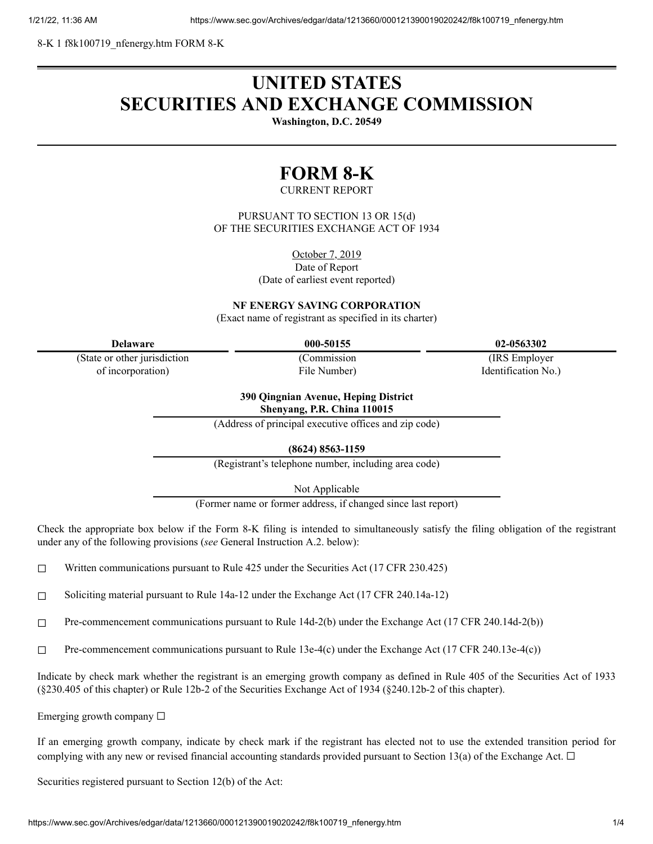8-K 1 f8k100719\_nfenergy.htm FORM 8-K

# **UNITED STATES SECURITIES AND EXCHANGE COMMISSION**

**Washington, D.C. 20549**

## **FORM 8-K**

#### CURRENT REPORT

PURSUANT TO SECTION 13 OR 15(d) OF THE SECURITIES EXCHANGE ACT OF 1934

October 7, 2019

Date of Report

(Date of earliest event reported)

**NF ENERGY SAVING CORPORATION**

(Exact name of registrant as specified in its charter)

| <b>Delaware</b> |
|-----------------|
|-----------------|

(State or other jurisdiction of incorporation)

(Commission File Number)

**Delaware 000-50155 02-0563302**

(IRS Employer Identification No.)

#### **390 Qingnian Avenue, Heping District Shenyang, P.R. China 110015**

(Address of principal executive offices and zip code)

**(8624) 8563-1159**

(Registrant's telephone number, including area code)

Not Applicable

(Former name or former address, if changed since last report)

Check the appropriate box below if the Form 8-K filing is intended to simultaneously satisfy the filing obligation of the registrant under any of the following provisions (*see* General Instruction A.2. below):

 $\Box$  Written communications pursuant to Rule 425 under the Securities Act (17 CFR 230.425)

☐ Soliciting material pursuant to Rule 14a-12 under the Exchange Act (17 CFR 240.14a-12)

 $\Box$  Pre-commencement communications pursuant to Rule 14d-2(b) under the Exchange Act (17 CFR 240.14d-2(b))

☐ Pre-commencement communications pursuant to Rule 13e-4(c) under the Exchange Act (17 CFR 240.13e-4(c))

Indicate by check mark whether the registrant is an emerging growth company as defined in Rule 405 of the Securities Act of 1933 (§230.405 of this chapter) or Rule 12b-2 of the Securities Exchange Act of 1934 (§240.12b-2 of this chapter).

Emerging growth company  $\Box$ 

If an emerging growth company, indicate by check mark if the registrant has elected not to use the extended transition period for complying with any new or revised financial accounting standards provided pursuant to Section 13(a) of the Exchange Act.  $\Box$ 

Securities registered pursuant to Section 12(b) of the Act: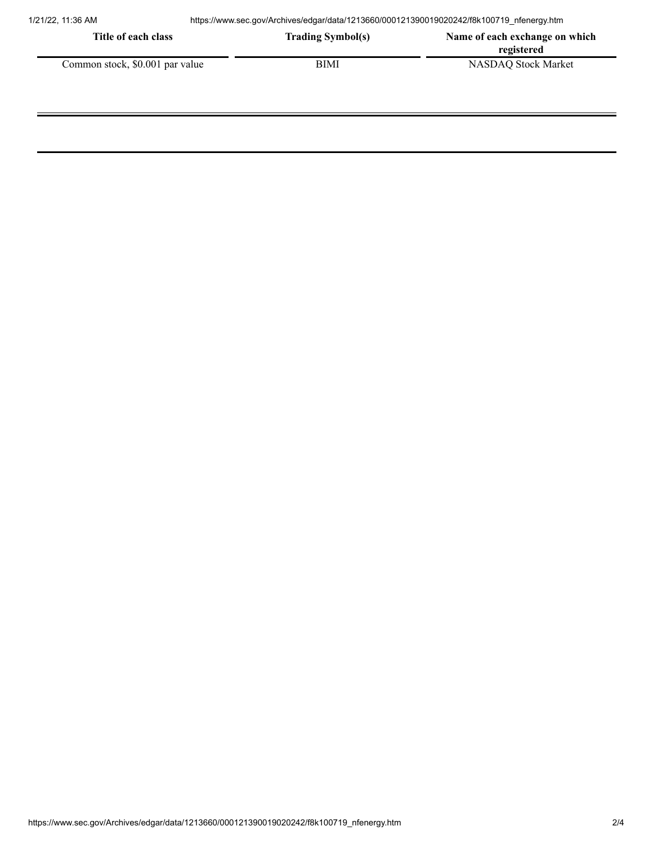| Title of each class             | <b>Trading Symbol(s)</b> | Name of each exchange on which<br>registered |
|---------------------------------|--------------------------|----------------------------------------------|
| Common stock, \$0.001 par value | BIMI                     | <b>NASDAQ Stock Market</b>                   |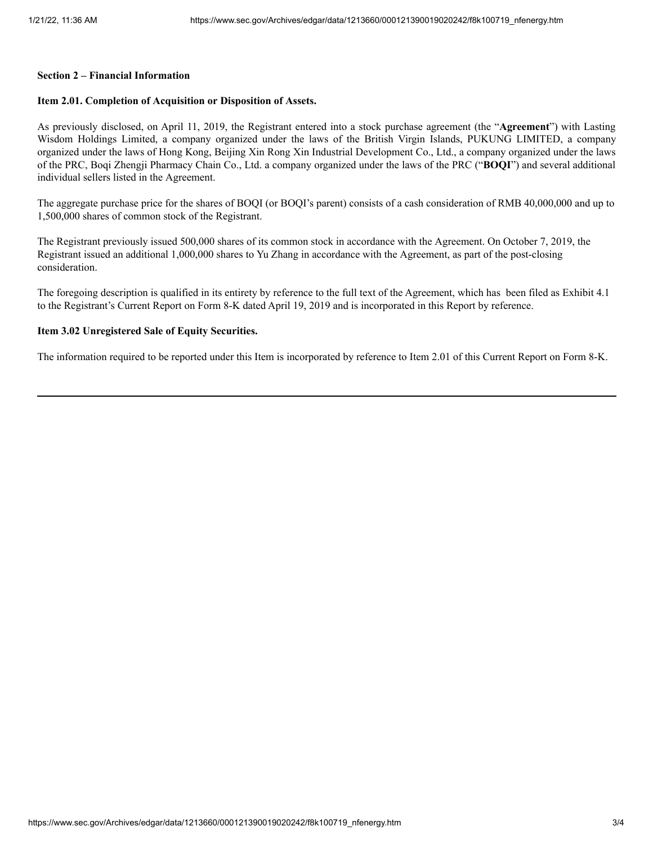#### **Section 2 – Financial Information**

### **Item 2.01. Completion of Acquisition or Disposition of Assets.**

As previously disclosed, on April 11, 2019, the Registrant entered into a stock purchase agreement (the "**Agreement**") with Lasting Wisdom Holdings Limited, a company organized under the laws of the British Virgin Islands, PUKUNG LIMITED, a company organized under the laws of Hong Kong, Beijing Xin Rong Xin Industrial Development Co., Ltd., a company organized under the laws of the PRC, Boqi Zhengji Pharmacy Chain Co., Ltd. a company organized under the laws of the PRC ("**BOQI**") and several additional individual sellers listed in the Agreement.

The aggregate purchase price for the shares of BOQI (or BOQI's parent) consists of a cash consideration of RMB 40,000,000 and up to 1,500,000 shares of common stock of the Registrant.

The Registrant previously issued 500,000 shares of its common stock in accordance with the Agreement. On October 7, 2019, the Registrant issued an additional 1,000,000 shares to Yu Zhang in accordance with the Agreement, as part of the post-closing consideration.

The foregoing description is qualified in its entirety by reference to the full text of the Agreement, which has been filed as Exhibit 4.1 to the Registrant's Current Report on Form 8-K dated April 19, 2019 and is incorporated in this Report by reference.

## **Item 3.02 Unregistered Sale of Equity Securities.**

The information required to be reported under this Item is incorporated by reference to Item 2.01 of this Current Report on Form 8-K.